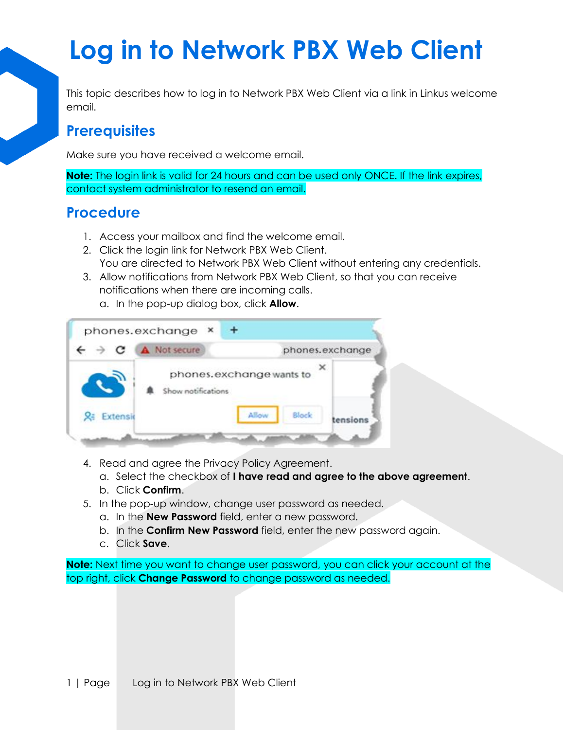# **Log in to Network PBX Web Client**

This topic describes how to log in to Network PBX Web Client via a link in Linkus welcome email.

#### **Prerequisites**

Make sure you have received a welcome email.

**Note:** The login link is valid for 24 hours and can be used only ONCE. If the link expires, contact system administrator to resend an email.

### **Procedure**

- 1. Access your mailbox and find the welcome email.
- 2. Click the login link for Network PBX Web Client. You are directed to Network PBX Web Client without entering any credentials.
- 3. Allow notifications from Network PBX Web Client, so that you can receive notifications when there are incoming calls.
	- a. In the pop-up dialog box, click **Allow**.



- 4. Read and agree the Privacy Policy Agreement.
	- a. Select the checkbox of **I have read and agree to the above agreement**.
	- b. Click **Confirm**.
- 5. In the pop-up window, change user password as needed.
	- a. In the **New Password** field, enter a new password.
	- b. In the **Confirm New Password** field, enter the new password again.
	- c. Click **Save**.

**Note:** Next time you want to change user password, you can click your account at the top right, click **Change Password** to change password as needed.